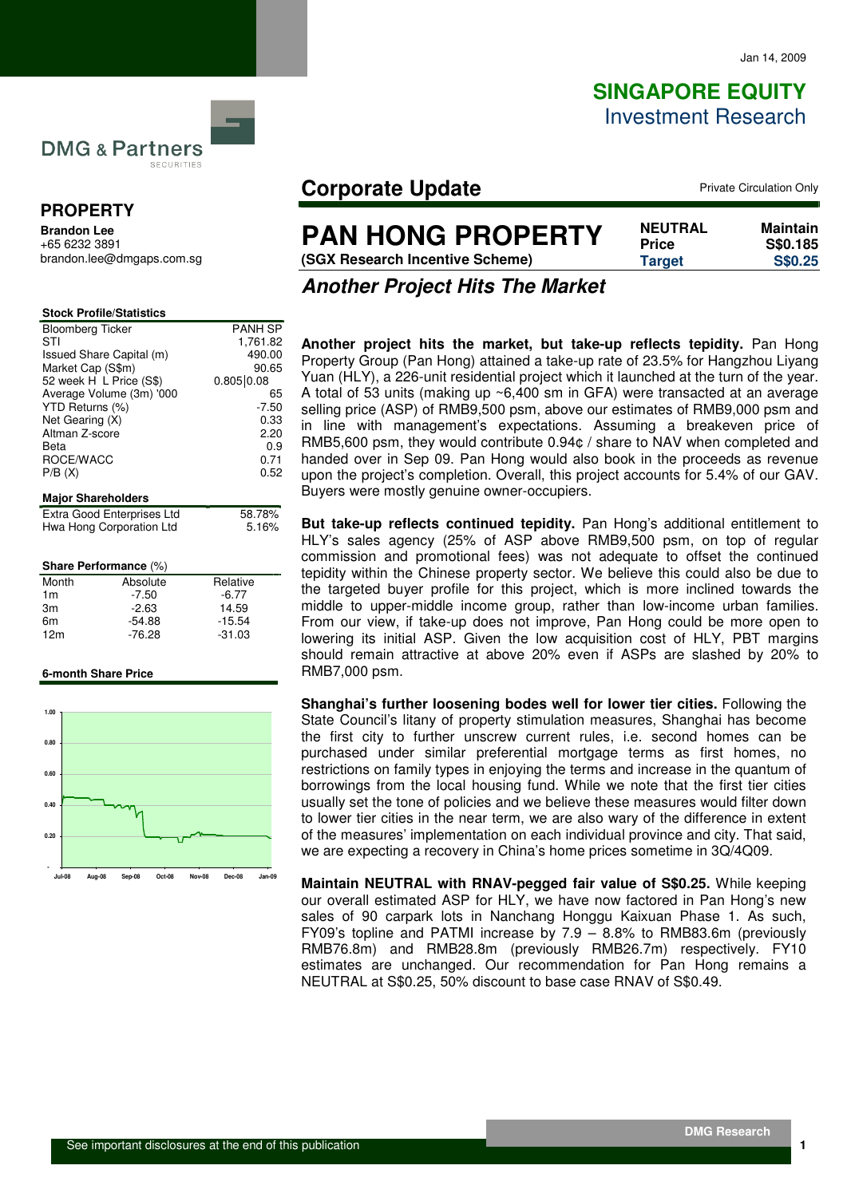# **SINGAPORE EQUITY** Investment Research

**DMG & Partners** SECURITIES

### **PROPERTY**

**Brandon Lee**  +65 6232 3891 brandon.lee@dmgaps.com.sg

| <b>Stock Profile/Statistics</b> |                |
|---------------------------------|----------------|
| <b>Bloomberg Ticker</b>         | <b>PANH SP</b> |
| STI                             | 1,761.82       |
| Issued Share Capital (m)        | 490.00         |
| Market Cap (S\$m)               | 90.65          |
| 52 week H L Price (S\$)         | 0.805   0.08   |
| Average Volume (3m) '000        | 65             |
| YTD Returns (%)                 | $-7.50$        |
| Net Gearing (X)                 | 0.33           |
| Altman Z-score                  | 2.20           |
| Beta                            | 0.9            |
| ROCE/WACC                       | 0.71           |
| P/B(X)                          | 0.52           |
|                                 |                |
| <b>Major Shareholders</b>       |                |
| Extra Good Enterprises Ltd      | 58.78%         |
| Hwa Hong Corporation Ltd        | 5.16%          |
|                                 |                |
|                                 |                |

### **Share Performance** (%) Month Absolute Relative

| $-7.50$  | $-6.77$  |
|----------|----------|
| $-2.63$  | 14.59    |
| $-54.88$ | $-15.54$ |
| $-76.28$ | $-31.03$ |
|          |          |

#### **6-month Share Price**



## **Corporate Update Private Circulation Only**

**(SGX Research Incentive Scheme) Tar** 

| <b>NEUTRAL</b> | Maintain |
|----------------|----------|
| <b>Price</b>   | S\$0.185 |
| <b>Target</b>  | S\$0.25  |
|                |          |

**Another Project Hits The Market** 

**Another project hits the market, but take-up reflects tepidity.** Pan Hong Property Group (Pan Hong) attained a take-up rate of 23.5% for Hangzhou Liyang Yuan (HLY), a 226-unit residential project which it launched at the turn of the year. A total of 53 units (making up ~6,400 sm in GFA) were transacted at an average selling price (ASP) of RMB9,500 psm, above our estimates of RMB9,000 psm and in line with management's expectations. Assuming a breakeven price of RMB5,600 psm, they would contribute 0.94¢ / share to NAV when completed and handed over in Sep 09. Pan Hong would also book in the proceeds as revenue upon the project's completion. Overall, this project accounts for 5.4% of our GAV. Buyers were mostly genuine owner-occupiers.

**But take-up reflects continued tepidity.** Pan Hong's additional entitlement to HLY's sales agency (25% of ASP above RMB9,500 psm, on top of regular commission and promotional fees) was not adequate to offset the continued tepidity within the Chinese property sector. We believe this could also be due to the targeted buyer profile for this project, which is more inclined towards the middle to upper-middle income group, rather than low-income urban families. From our view, if take-up does not improve, Pan Hong could be more open to lowering its initial ASP. Given the low acquisition cost of HLY, PBT margins should remain attractive at above 20% even if ASPs are slashed by 20% to RMB7,000 psm.

**Shanghai's further loosening bodes well for lower tier cities.** Following the State Council's litany of property stimulation measures, Shanghai has become the first city to further unscrew current rules, i.e. second homes can be purchased under similar preferential mortgage terms as first homes, no restrictions on family types in enjoying the terms and increase in the quantum of borrowings from the local housing fund. While we note that the first tier cities usually set the tone of policies and we believe these measures would filter down to lower tier cities in the near term, we are also wary of the difference in extent of the measures' implementation on each individual province and city. That said, we are expecting a recovery in China's home prices sometime in 3Q/4Q09.

**Maintain NEUTRAL with RNAV-pegged fair value of S\$0.25.** While keeping our overall estimated ASP for HLY, we have now factored in Pan Hong's new sales of 90 carpark lots in Nanchang Honggu Kaixuan Phase 1. As such, FY09's topline and PATMI increase by 7.9 – 8.8% to RMB83.6m (previously RMB76.8m) and RMB28.8m (previously RMB26.7m) respectively. FY10 estimates are unchanged. Our recommendation for Pan Hong remains a NEUTRAL at S\$0.25, 50% discount to base case RNAV of S\$0.49.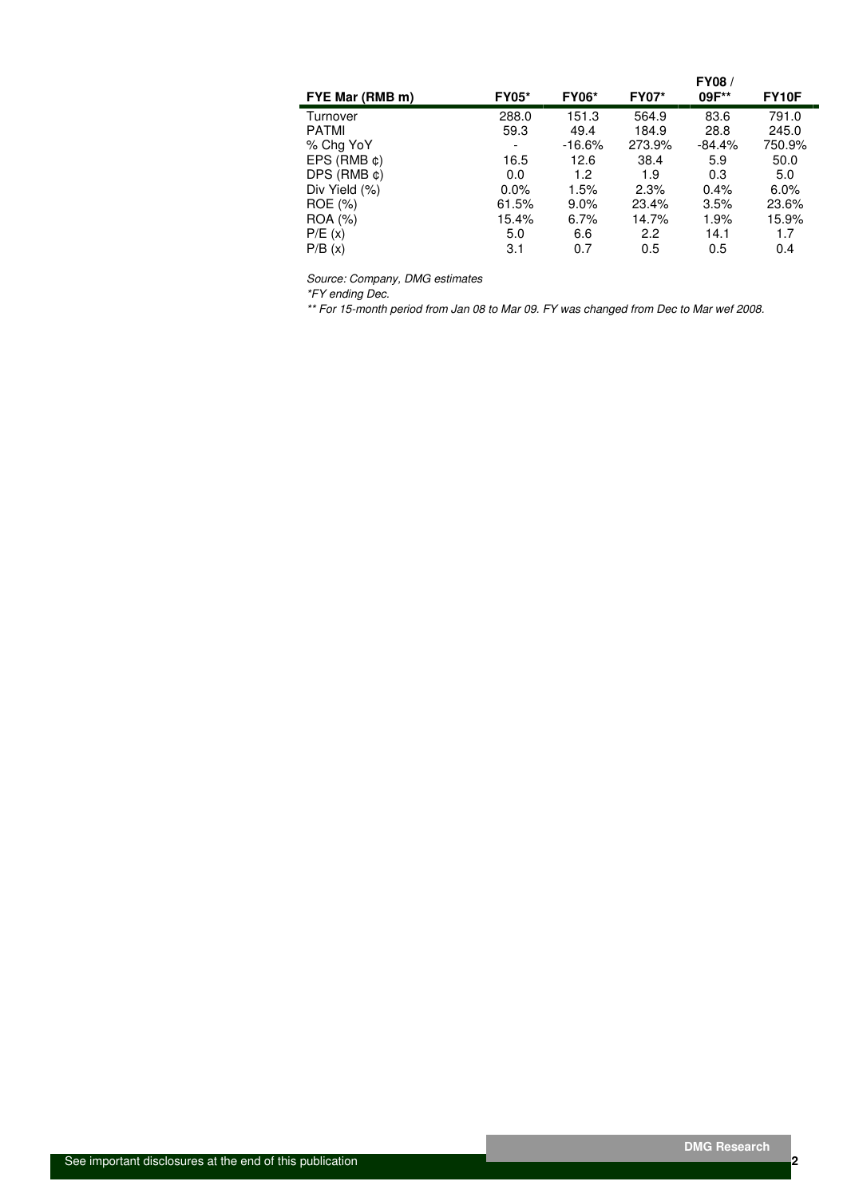| FYE Mar (RMB m)     | <b>FY05*</b> | <b>FY06*</b> | <b>FY07*</b> | FY08/<br>09F** | FY10F   |
|---------------------|--------------|--------------|--------------|----------------|---------|
| Turnover            | 288.0        | 151.3        | 564.9        | 83.6           | 791.0   |
| <b>PATMI</b>        | 59.3         | 49.4         | 184.9        | 28.8           | 245.0   |
| % Chg YoY           | -            | $-16.6%$     | 273.9%       | $-84.4%$       | 750.9%  |
| $EPS$ (RMB $\phi$ ) | 16.5         | 12.6         | 38.4         | 5.9            | 50.0    |
| $DPS$ (RMB $\phi$ ) | 0.0          | 1.2          | 1.9          | 0.3            | 5.0     |
| Div Yield (%)       | $0.0\%$      | 1.5%         | 2.3%         | 0.4%           | $6.0\%$ |
| ROE (%)             | 61.5%        | $9.0\%$      | 23.4%        | 3.5%           | 23.6%   |
| ROA (%)             | 15.4%        | 6.7%         | 14.7%        | 1.9%           | 15.9%   |
| P/E(x)              | 5.0          | 6.6          | 2.2          | 14.1           | 1.7     |
| P/B(x)              | 3.1          | 0.7          | 0.5          | 0.5            | 0.4     |

Source: Company, DMG estimates

\*FY ending Dec.

\*\* For 15-month period from Jan 08 to Mar 09. FY was changed from Dec to Mar wef 2008.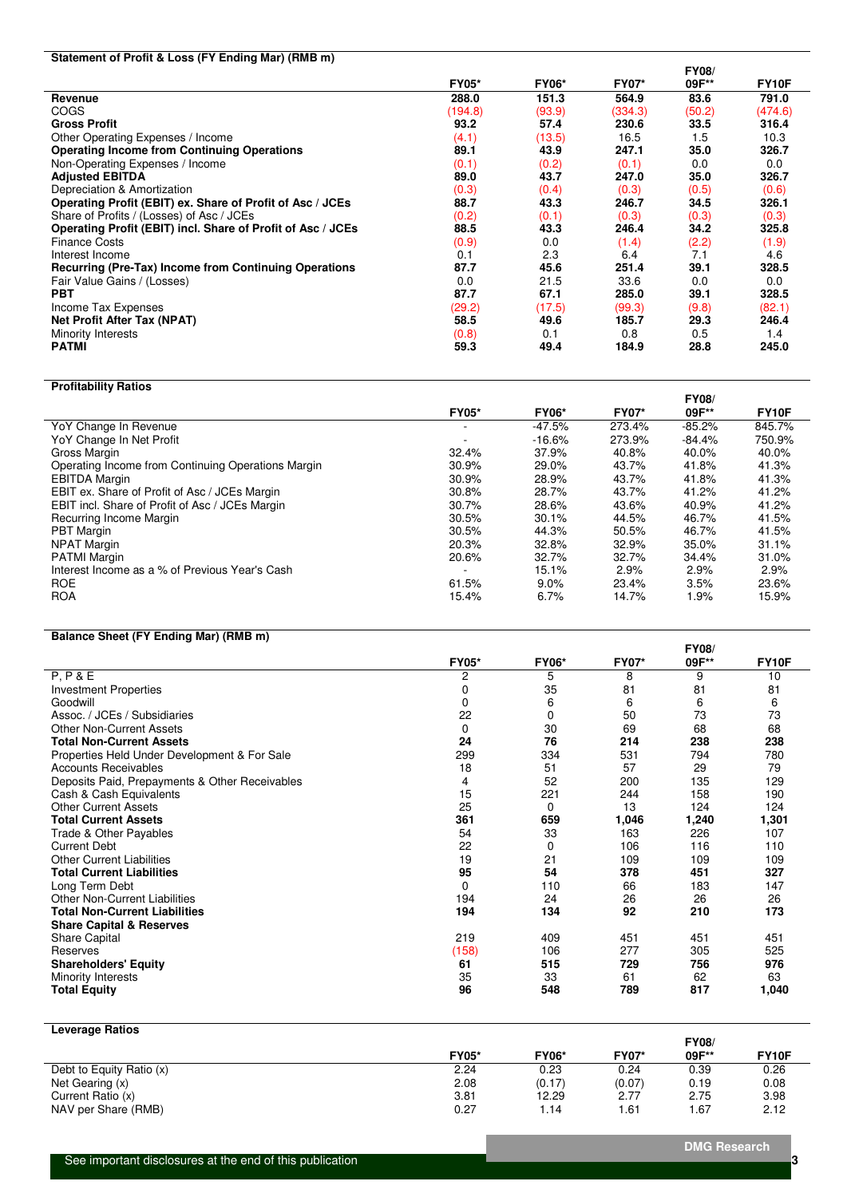### **Statement of Profit & Loss (FY Ending Mar) (RMB m)**

|                                                              |              |              |              | <b>FY08/</b> |                    |
|--------------------------------------------------------------|--------------|--------------|--------------|--------------|--------------------|
|                                                              | <b>FY05*</b> | <b>FY06*</b> | <b>FY07*</b> | 09F**        | FY <sub>10</sub> F |
| Revenue                                                      | 288.0        | 151.3        | 564.9        | 83.6         | 791.0              |
| <b>COGS</b>                                                  | (194.8)      | (93.9)       | (334.3)      | (50.2)       | (474.6)            |
| <b>Gross Profit</b>                                          | 93.2         | 57.4         | 230.6        | 33.5         | 316.4              |
| Other Operating Expenses / Income                            | (4.1)        | (13.5)       | 16.5         | 1.5          | 10.3               |
| <b>Operating Income from Continuing Operations</b>           | 89.1         | 43.9         | 247.1        | 35.0         | 326.7              |
| Non-Operating Expenses / Income                              | (0.1)        | (0.2)        | (0.1)        | 0.0          | 0.0                |
| <b>Adjusted EBITDA</b>                                       | 89.0         | 43.7         | 247.0        | 35.0         | 326.7              |
| Depreciation & Amortization                                  | (0.3)        | (0.4)        | (0.3)        | (0.5)        | (0.6)              |
| Operating Profit (EBIT) ex. Share of Profit of Asc / JCEs    | 88.7         | 43.3         | 246.7        | 34.5         | 326.1              |
| Share of Profits / (Losses) of Asc / JCEs                    | (0.2)        | (0.1)        | (0.3)        | (0.3)        | (0.3)              |
| Operating Profit (EBIT) incl. Share of Profit of Asc / JCEs  | 88.5         | 43.3         | 246.4        | 34.2         | 325.8              |
| <b>Finance Costs</b>                                         | (0.9)        | 0.0          | (1.4)        | (2.2)        | (1.9)              |
| Interest Income                                              | 0.1          | 2.3          | 6.4          | 7.1          | 4.6                |
| <b>Recurring (Pre-Tax) Income from Continuing Operations</b> | 87.7         | 45.6         | 251.4        | 39.1         | 328.5              |
| Fair Value Gains / (Losses)                                  | 0.0          | 21.5         | 33.6         | 0.0          | 0.0                |
| <b>PBT</b>                                                   | 87.7         | 67.1         | 285.0        | 39.1         | 328.5              |
| Income Tax Expenses                                          | (29.2)       | (17.5)       | (99.3)       | (9.8)        | (82.1)             |
| <b>Net Profit After Tax (NPAT)</b>                           | 58.5         | 49.6         | 185.7        | 29.3         | 246.4              |
| Minority Interests                                           | (0.8)        | 0.1          | 0.8          | 0.5          | 1.4                |
| <b>PATMI</b>                                                 | 59.3         | 49.4         | 184.9        | 28.8         | 245.0              |

### **Profitability Ratios**

|                                                    |              |              |              | <b>FY08/</b> |                    |
|----------------------------------------------------|--------------|--------------|--------------|--------------|--------------------|
|                                                    | <b>FY05*</b> | <b>FY06*</b> | <b>FY07*</b> | 09F**        | FY <sub>10</sub> F |
| YoY Change In Revenue                              |              | -47.5%       | 273.4%       | $-85.2%$     | 845.7%             |
| YoY Change In Net Profit                           |              | $-16.6%$     | 273.9%       | $-84.4%$     | 750.9%             |
| Gross Margin                                       | 32.4%        | 37.9%        | 40.8%        | 40.0%        | 40.0%              |
| Operating Income from Continuing Operations Margin | 30.9%        | 29.0%        | 43.7%        | 41.8%        | 41.3%              |
| <b>EBITDA Margin</b>                               | 30.9%        | 28.9%        | 43.7%        | 41.8%        | 41.3%              |
| EBIT ex. Share of Profit of Asc / JCEs Margin      | 30.8%        | 28.7%        | 43.7%        | 41.2%        | 41.2%              |
| EBIT incl. Share of Profit of Asc / JCEs Margin    | 30.7%        | 28.6%        | 43.6%        | 40.9%        | 41.2%              |
| Recurring Income Margin                            | 30.5%        | 30.1%        | 44.5%        | 46.7%        | 41.5%              |
| <b>PBT</b> Margin                                  | 30.5%        | 44.3%        | 50.5%        | 46.7%        | 41.5%              |
| <b>NPAT Margin</b>                                 | 20.3%        | 32.8%        | 32.9%        | 35.0%        | 31.1%              |
| <b>PATMI Margin</b>                                | 20.6%        | 32.7%        | 32.7%        | 34.4%        | 31.0%              |
| Interest Income as a % of Previous Year's Cash     |              | 15.1%        | 2.9%         | 2.9%         | 2.9%               |
| <b>ROE</b>                                         | 61.5%        | $9.0\%$      | 23.4%        | 3.5%         | 23.6%              |
| <b>ROA</b>                                         | 15.4%        | 6.7%         | 14.7%        | 1.9%         | 15.9%              |

### **Balance Sheet (FY Ending Mar) (RMB m)**

|                                                |              |              |              | <b>FY08/</b> |              |
|------------------------------------------------|--------------|--------------|--------------|--------------|--------------|
|                                                | <b>FY05*</b> | <b>FY06*</b> | <b>FY07*</b> | 09F**        | <b>FY10F</b> |
| P, P & E                                       | 2            | 5            | 8            | 9            | 10           |
| <b>Investment Properties</b>                   | 0            | 35           | 81           | 81           | 81           |
| Goodwill                                       | 0            | 6            | 6            | 6            | 6            |
| Assoc. / JCEs / Subsidiaries                   | 22           | 0            | 50           | 73           | 73           |
| <b>Other Non-Current Assets</b>                | 0            | 30           | 69           | 68           | 68           |
| <b>Total Non-Current Assets</b>                | 24           | 76           | 214          | 238          | 238          |
| Properties Held Under Development & For Sale   | 299          | 334          | 531          | 794          | 780          |
| Accounts Receivables                           | 18           | 51           | 57           | 29           | 79           |
| Deposits Paid, Prepayments & Other Receivables | 4            | 52           | 200          | 135          | 129          |
| Cash & Cash Equivalents                        | 15           | 221          | 244          | 158          | 190          |
| <b>Other Current Assets</b>                    | 25           | 0            | 13           | 124          | 124          |
| <b>Total Current Assets</b>                    | 361          | 659          | 1,046        | 1,240        | 1,301        |
| Trade & Other Payables                         | 54           | 33           | 163          | 226          | 107          |
| <b>Current Debt</b>                            | 22           | 0            | 106          | 116          | 110          |
| <b>Other Current Liabilities</b>               | 19           | 21           | 109          | 109          | 109          |
| <b>Total Current Liabilities</b>               | 95           | 54           | 378          | 451          | 327          |
| Long Term Debt                                 | $\Omega$     | 110          | 66           | 183          | 147          |
| <b>Other Non-Current Liabilities</b>           | 194          | 24           | 26           | 26           | 26           |
| <b>Total Non-Current Liabilities</b>           | 194          | 134          | 92           | 210          | 173          |
| <b>Share Capital &amp; Reserves</b>            |              |              |              |              |              |
| Share Capital                                  | 219          | 409          | 451          | 451          | 451          |
| Reserves                                       | (158)        | 106          | 277          | 305          | 525          |
| <b>Shareholders' Equity</b>                    | 61           | 515          | 729          | 756          | 976          |
| Minority Interests                             | 35           | 33           | 61           | 62           | 63           |
| Total Equity                                   | 96           | 548          | 789          | 817          | 1,040        |

#### **Leverage Ratios**

|                          |              |              |              | <b>FY08</b> |       |
|--------------------------|--------------|--------------|--------------|-------------|-------|
|                          | <b>FY05*</b> | <b>FY06*</b> | <b>FY07*</b> | 09F**       | FY10F |
| Debt to Equity Ratio (x) | 2.24         | 0.23         | 0.24         | 0.39        | 0.26  |
| Net Gearing (x)          | 2.08         | (0.17)       | (0.07)       | 0.19        | 0.08  |
| Current Ratio (x)        | 3.81         | 12.29        | 2.77         | 2.75        | 3.98  |
| NAV per Share (RMB)      | 0.27         | 14، ،        | .61          | <b>.67</b>  | 2.12  |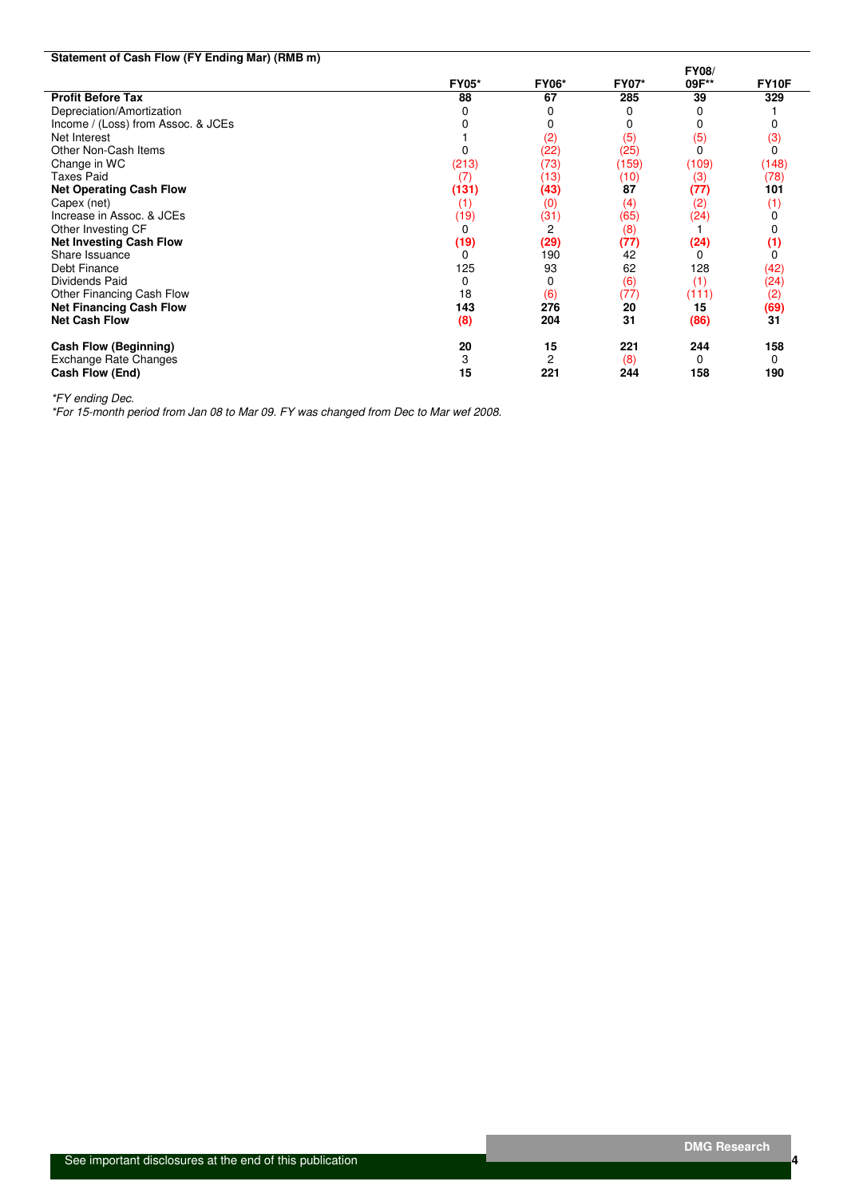| Statement of Cash Flow (FY Ending Mar) (RMB m) |              |              |              |              |              |
|------------------------------------------------|--------------|--------------|--------------|--------------|--------------|
|                                                |              |              |              | <b>FY08/</b> |              |
|                                                | <b>FY05*</b> | <b>FY06*</b> | <b>FY07*</b> | 09F**        | <b>FY10F</b> |
| <b>Profit Before Tax</b>                       | 88           | 67           | 285          | 39           | 329          |
| Depreciation/Amortization                      |              |              |              | 0            |              |
| Income / (Loss) from Assoc. & JCEs             |              |              | 0            | 0            |              |
| Net Interest                                   |              | (2)          | (5)          | (5)          | (3)          |
| Other Non-Cash Items                           |              | (22)         | (25)         | $\Omega$     | 0            |
| Change in WC                                   | (213)        | (73)         | (159)        | (109)        | (148)        |
| <b>Taxes Paid</b>                              | (7)          | (13)         | (10)         | (3)          | (78)         |
| <b>Net Operating Cash Flow</b>                 | (131)        | (43)         | 87           | (77)         | 101          |
| Capex (net)                                    | (1)          | (0)          | (4)          | (2)          | (1)          |
| Increase in Assoc. & JCEs                      | (19)         | (31)         | (65)         | (24)         |              |
| Other Investing CF                             |              | 2            | (8)          |              |              |
| <b>Net Investing Cash Flow</b>                 | (19)         | (29)         | (77)         | (24)         | (1)          |
| Share Issuance                                 | ŋ            | 190          | 42           | 0            |              |
| Debt Finance                                   | 125          | 93           | 62           | 128          | (42)         |
| Dividends Paid                                 | 0            | 0            | (6)          | (1)          | (24)         |
| Other Financing Cash Flow                      | 18           | (6)          | (77)         | (111)        | (2)          |
| <b>Net Financing Cash Flow</b>                 | 143          | 276          | 20           | 15           | (69)         |
| <b>Net Cash Flow</b>                           | (8)          | 204          | 31           | (86)         | 31           |
| Cash Flow (Beginning)                          | 20           | 15           | 221          | 244          | 158          |
| Exchange Rate Changes                          | 3            | 2            | (8)          | 0            | 0            |
| Cash Flow (End)                                | 15           | 221          | 244          | 158          | 190          |

\*FY ending Dec.

\*For 15-month period from Jan 08 to Mar 09. FY was changed from Dec to Mar wef 2008.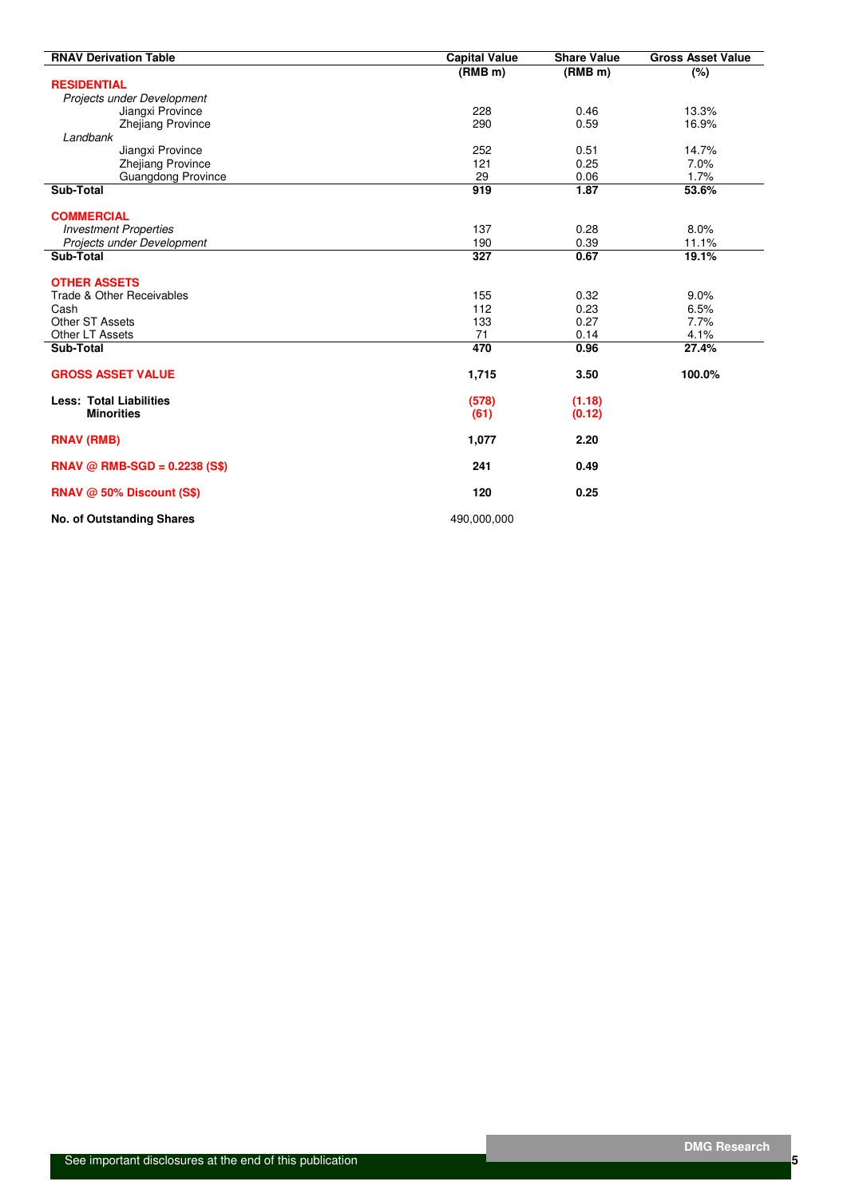| <b>RNAV Derivation Table</b>     | <b>Capital Value</b> | <b>Share Value</b>  | <b>Gross Asset Value</b> |
|----------------------------------|----------------------|---------------------|--------------------------|
|                                  | (RMB <sub>m</sub> )  | (RMB <sub>m</sub> ) | $(\%)$                   |
| <b>RESIDENTIAL</b>               |                      |                     |                          |
| Projects under Development       |                      |                     |                          |
| Jiangxi Province                 | 228                  | 0.46                | 13.3%                    |
| <b>Zhejiang Province</b>         | 290                  | 0.59                | 16.9%                    |
| Landbank                         |                      |                     |                          |
| Jiangxi Province                 | 252                  | 0.51                | 14.7%                    |
| <b>Zhejiang Province</b>         | 121                  | 0.25                | 7.0%                     |
| Guangdong Province               | 29                   | 0.06                | 1.7%                     |
| Sub-Total                        | 919                  | 1.87                | 53.6%                    |
| <b>COMMERCIAL</b>                |                      |                     |                          |
| <b>Investment Properties</b>     | 137                  | 0.28                | 8.0%                     |
| Projects under Development       | 190                  | 0.39                | 11.1%                    |
| Sub-Total                        | $\overline{327}$     | 0.67                | 19.1%                    |
| <b>OTHER ASSETS</b>              |                      |                     |                          |
| Trade & Other Receivables        | 155                  | 0.32                | 9.0%                     |
| Cash                             | 112                  | 0.23                | 6.5%                     |
| Other ST Assets                  | 133                  | 0.27                | 7.7%                     |
| Other LT Assets                  | 71                   | 0.14                | 4.1%                     |
| Sub-Total                        | 470                  | 0.96                | 27.4%                    |
| <b>GROSS ASSET VALUE</b>         | 1,715                | 3.50                | 100.0%                   |
| <b>Less: Total Liabilities</b>   | (578)                | (1.18)              |                          |
| <b>Minorities</b>                | (61)                 | (0.12)              |                          |
| <b>RNAV (RMB)</b>                | 1,077                | 2.20                |                          |
| $RNAV @ RMB-SGD = 0.2238 (S$)$   | 241                  | 0.49                |                          |
| RNAV @ 50% Discount (S\$)        | 120                  | 0.25                |                          |
| <b>No. of Outstanding Shares</b> | 490,000,000          |                     |                          |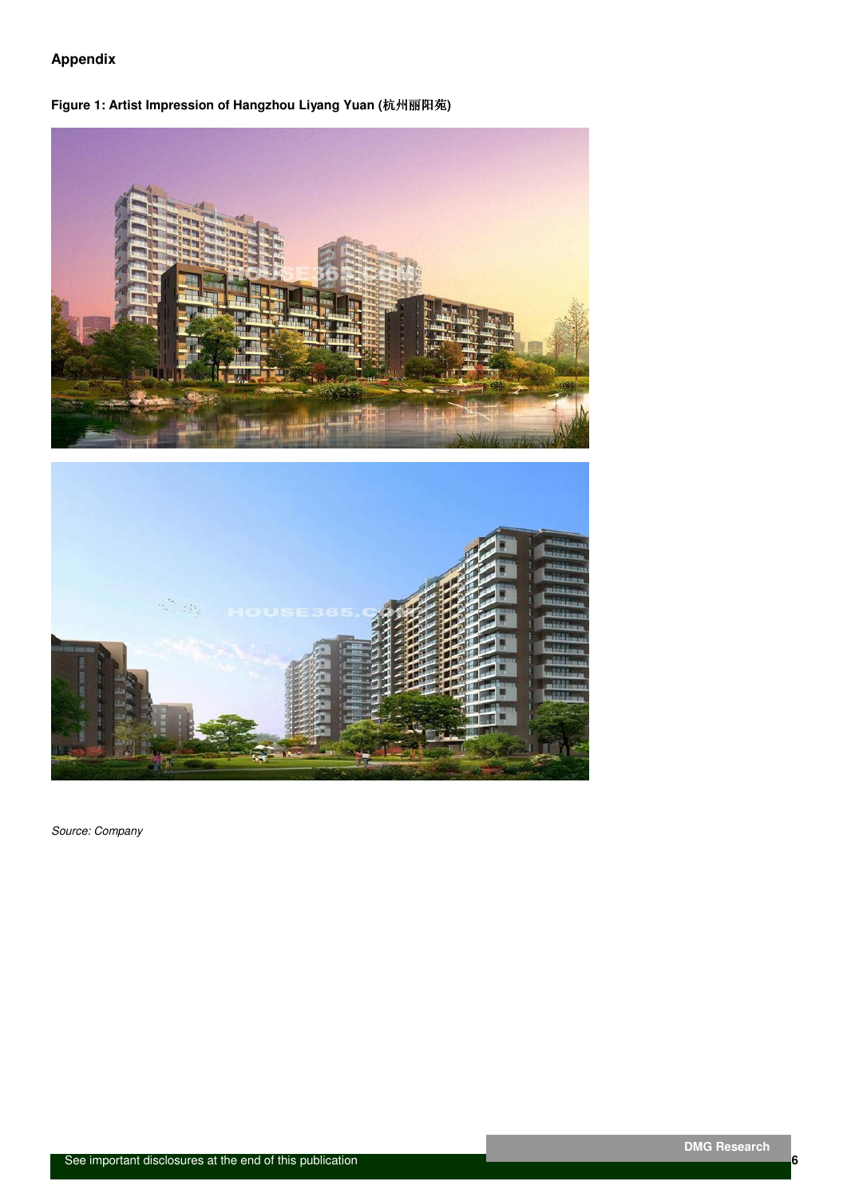## **Appendix**

### **Figure 1: Artist Impression of Hangzhou Liyang Yuan (**杭州丽阳苑**)**





Source: Company